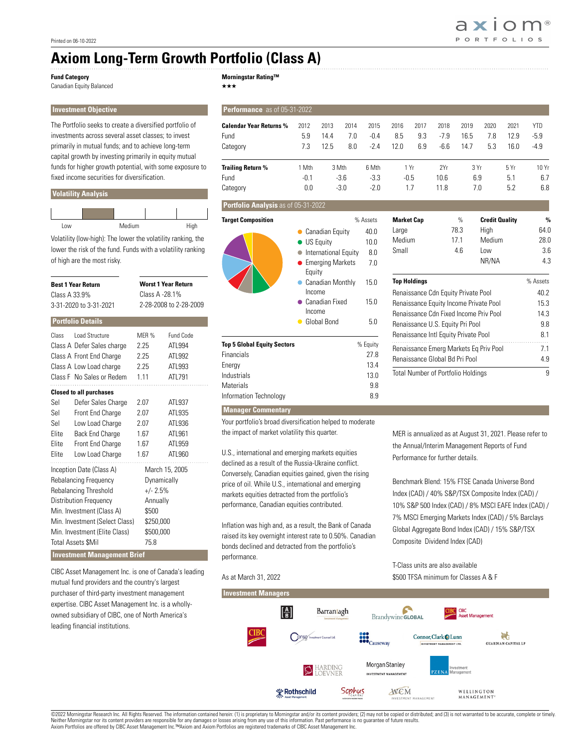## **Axiom Long-Term Growth Portfolio (Class A)**

## **Fund Category**

Canadian Equity Balanced

**Morningstar Rating™**

 $\star\star\star$ 

| <b>Investment Objective</b>                                                                                                                                                                                                      |                                                                                                                |                                      |                                                                                                                                                                                                                           | Performance as of 05-31-2022                                                                                                                                                                                                                                                                              |                        |                      |                           |                                                                                                                                                                                    |                     |                       |                                  |                                                         |                    |                                    |                                |
|----------------------------------------------------------------------------------------------------------------------------------------------------------------------------------------------------------------------------------|----------------------------------------------------------------------------------------------------------------|--------------------------------------|---------------------------------------------------------------------------------------------------------------------------------------------------------------------------------------------------------------------------|-----------------------------------------------------------------------------------------------------------------------------------------------------------------------------------------------------------------------------------------------------------------------------------------------------------|------------------------|----------------------|---------------------------|------------------------------------------------------------------------------------------------------------------------------------------------------------------------------------|---------------------|-----------------------|----------------------------------|---------------------------------------------------------|--------------------|------------------------------------|--------------------------------|
| The Portfolio seeks to create a diversified portfolio of<br>investments across several asset classes: to invest<br>primarily in mutual funds; and to achieve long-term<br>capital growth by investing primarily in equity mutual |                                                                                                                |                                      |                                                                                                                                                                                                                           | <b>Calendar Year Returns %</b><br>Fund<br>Category                                                                                                                                                                                                                                                        | 2012<br>5.9<br>7.3     | 2013<br>14.4<br>12.5 | 2014<br>7.0<br>8.0        | 2015<br>$-0.4$<br>$-2.4$                                                                                                                                                           | 2016<br>8.5<br>12.0 | 2017<br>9.3<br>6.9    | 2018<br>$-7.9$<br>$-6.6$         | 2019<br>16.5<br>14.7                                    | 2020<br>7.8<br>5.3 | 2021<br>12.9<br>16.0               | <b>YTD</b><br>$-5.9$<br>$-4.9$ |
| funds for higher growth potential, with some exposure to<br>fixed income securities for diversification.<br><b>Volatility Analysis</b>                                                                                           |                                                                                                                |                                      |                                                                                                                                                                                                                           | <b>Trailing Return %</b><br>Fund<br>Category                                                                                                                                                                                                                                                              | 1 Mth<br>$-0.1$<br>0.0 |                      | 3 Mth<br>$-3.6$<br>$-3.0$ | 6 Mth<br>$-3.3$<br>$-2.0$                                                                                                                                                          |                     | 1 Yr<br>$-0.5$<br>1.7 | 2Yr<br>10.6<br>11.8              |                                                         | 3 Yr<br>6.9<br>7.0 | 5 Yr<br>5.1<br>5.2                 | 10 Yr<br>6.7<br>6.8            |
|                                                                                                                                                                                                                                  |                                                                                                                |                                      |                                                                                                                                                                                                                           | Portfolio Analysis as of 05-31-2022                                                                                                                                                                                                                                                                       |                        |                      |                           |                                                                                                                                                                                    |                     |                       |                                  |                                                         |                    |                                    |                                |
| Medium<br>Low<br>High<br>Volatility (low-high): The lower the volatility ranking, the<br>lower the risk of the fund. Funds with a volatility ranking<br>of high are the most risky.                                              |                                                                                                                |                                      | <b>Target Composition</b>                                                                                                                                                                                                 | % Assets<br>40.0<br>• Canadian Equity<br>10.0<br>• US Equity<br>8.0<br>• International Equity<br>• Emerging Markets<br>7.0<br>Equity<br>• Canadian Monthly<br>15.0<br>Income<br>• Canadian Fixed<br>15.0<br>Income<br>• Global Bond<br>5.0                                                                |                        |                      |                           | <b>Market Cap</b><br>Large<br>Medium<br>Small                                                                                                                                      |                     |                       | $\%$<br>78.3<br>17.1<br>4.6      | <b>Credit Quality</b><br>High<br>Medium<br>Low<br>NR/NA |                    | $\%$<br>64.0<br>28.0<br>3.6<br>4.3 |                                |
| <b>Worst 1 Year Return</b><br><b>Best 1 Year Return</b><br>Class A -28.1%<br>Class A 33.9%<br>2-28-2008 to 2-28-2009<br>3-31-2020 to 3-31-2021<br><b>Portfolio Details</b>                                                       |                                                                                                                |                                      |                                                                                                                                                                                                                           |                                                                                                                                                                                                                                                                                                           |                        |                      |                           | <b>Top Holdings</b><br>Renaissance Cdn Equity Private Pool<br>Renaissance Equity Income Private Pool<br>Renaissance Cdn Fixed Income Priv Pool<br>Renaissance U.S. Equity Pri Pool |                     |                       | % Assets<br>40.2<br>15.3<br>14.3 |                                                         |                    |                                    |                                |
| Class                                                                                                                                                                                                                            | Load Structure                                                                                                 | MER %                                | Fund Code                                                                                                                                                                                                                 |                                                                                                                                                                                                                                                                                                           |                        |                      |                           |                                                                                                                                                                                    |                     |                       |                                  |                                                         |                    |                                    | 9.8<br>8.1                     |
|                                                                                                                                                                                                                                  | Class A Defer Sales charge<br>Class A Front End Charge<br>Class A Low Load charge<br>Class F No Sales or Redem | 2.25<br>2.25<br>2.25<br>1.11         | ATL994<br>ATL992<br>ATL993<br>ATL791                                                                                                                                                                                      | <b>Top 5 Global Equity Sectors</b><br>Financials<br>Energy<br>Industrials                                                                                                                                                                                                                                 | % Equity               |                      | 27.8<br>13.4<br>13.0      | Renaissance Intl Equity Private Pool<br>Renaissance Emerg Markets Eq Priv Pool<br>Renaissance Global Bd Pri Pool<br>Total Number of Portfolio Holdings                             |                     |                       | 7.1<br>4.9<br>9                  |                                                         |                    |                                    |                                |
| <b>Closed to all purchases</b><br>Sel                                                                                                                                                                                            | Defer Sales Charge                                                                                             | 2.07                                 | ATL937                                                                                                                                                                                                                    | <b>Materials</b><br>Information Technology                                                                                                                                                                                                                                                                |                        |                      |                           | 9.8<br>8.9                                                                                                                                                                         |                     |                       |                                  |                                                         |                    |                                    |                                |
| Sel<br>Sel<br>Elite<br>Elite<br>Elite                                                                                                                                                                                            | Front End Charge<br>Low Load Charge<br>Back End Charge<br>Front End Charge<br>Low Load Charge                  | 2.07<br>2.07<br>1.67<br>1.67<br>1.67 | ATL935<br>ATL936<br>ATL961<br>ATL959<br>ATL960                                                                                                                                                                            | <b>Manager Commentary</b><br>Your portfolio's broad diversification helped to moderate<br>the impact of market volatility this quarter.<br>MER is annualized as at August 31, 2021. Please refer to<br>the Annual/Interim Management Reports of Fund<br>U.S., international and emerging markets equities |                        |                      |                           |                                                                                                                                                                                    |                     |                       |                                  |                                                         |                    |                                    |                                |
| Inception Date (Class A)<br>March 15, 2005<br><b>Rebalancing Frequency</b><br>Dynamically<br>Rebalancing Threshold<br>$+/- 2.5%$                                                                                                 |                                                                                                                |                                      | declined as a result of the Russia-Ukraine conflict.<br>Conversely, Canadian equities gained, given the rising<br>price of oil. While U.S., international and emerging<br>markets equities detracted from the portfolio's |                                                                                                                                                                                                                                                                                                           |                        |                      |                           | Performance for further details.<br>Benchmark Blend: 15% FTSE Canada Universe Bond<br>Index (CAD) / 40% S&P/TSX Composite Index (CAD) /                                            |                     |                       |                                  |                                                         |                    |                                    |                                |

Inflation was high and, as a result, the Bank of Canada raised its key overnight interest rate to 0.50%. Canadian bonds declined and detracted from the portfolio's performance.

performance, Canadian equities contributed.

## As at March 31, 2022

Index (CAD) / 40% S&P/TSX Composite Index (CAD) / 10% S&P 500 Index (CAD) / 8% MSCI EAFE Index (CAD) / 7% MSCI Emerging Markets Index (CAD) / 5% Barclays Global Aggregate Bond Index (CAD) / 15% S&P/TSX Composite Dividend Index (CAD)

T-Class units are also available \$500 TFSA minimum for Classes A & F



| Class A 33.9% | <b>Best 1 Year Return</b><br>3-31-2020 to 3-31-2021                                                                                     | <b>Worst 1 Year Return</b><br>Class A -28.1%<br>2-28-2008 to 2-28-2009 |                                                   |  |  |  |  |  |
|---------------|-----------------------------------------------------------------------------------------------------------------------------------------|------------------------------------------------------------------------|---------------------------------------------------|--|--|--|--|--|
|               | <b>Portfolio Details</b>                                                                                                                |                                                                        |                                                   |  |  |  |  |  |
| Class         | <b>Load Structure</b><br>Class A Defer Sales charge<br>Class A Front End Charge<br>Class A Low Load charge<br>Class F No Sales or Redem | MFR %<br>2.25<br>2.25<br>2.25<br>1.11                                  | Fund Code<br>ATL994<br>ATL992<br>ATL993<br>ATL791 |  |  |  |  |  |
|               | <b>Closed to all purchases</b>                                                                                                          |                                                                        |                                                   |  |  |  |  |  |
| Sel           | Defer Sales Charge                                                                                                                      | 2.07                                                                   | ATL937                                            |  |  |  |  |  |
| Sel           | Front End Charge                                                                                                                        | 2.07                                                                   | ATL935                                            |  |  |  |  |  |
| Sel           | Low Load Charge                                                                                                                         | 2.07                                                                   | ATL936                                            |  |  |  |  |  |
| Elite         | Back End Charge                                                                                                                         | 1.67                                                                   | ATL961                                            |  |  |  |  |  |
| Elite         | Front End Charge                                                                                                                        | 1.67                                                                   | ATL959                                            |  |  |  |  |  |
| Elite         | Low Load Charge                                                                                                                         | 1.67                                                                   | ATL960                                            |  |  |  |  |  |
|               | Inception Date (Class A)                                                                                                                |                                                                        | March 15, 2005                                    |  |  |  |  |  |
|               | Rebalancing Frequency                                                                                                                   | Dynamically                                                            |                                                   |  |  |  |  |  |
|               | Rebalancing Threshold                                                                                                                   |                                                                        | $+/- 2.5%$                                        |  |  |  |  |  |
|               | <b>Distribution Frequency</b>                                                                                                           | Annually                                                               |                                                   |  |  |  |  |  |
|               | Min. Investment (Class A)                                                                                                               | \$500                                                                  |                                                   |  |  |  |  |  |
|               | Min. Investment (Select Class)                                                                                                          | \$250,000                                                              |                                                   |  |  |  |  |  |
|               | Min. Investment (Elite Class)                                                                                                           | \$500,000                                                              |                                                   |  |  |  |  |  |
|               | <b>Total Assets \$Mil</b>                                                                                                               | 75.8                                                                   |                                                   |  |  |  |  |  |
|               | <b>Investment Management Brief</b>                                                                                                      |                                                                        |                                                   |  |  |  |  |  |

CIBC Asset Management Inc. is one of Canada's leading mutual fund providers and the country's largest purchaser of third-party investment management expertise. CIBC Asset Management Inc. is a whollyowned subsidiary of CIBC, one of North America's leading financial institutions.

©2022 Morningstar Research Inc. All Rights Reserved. The information contained herein: (1) is proprietary to Morningstar and/or its content providers; (2) may not be copied or disributed; and (3) is not warranted to be acc Axiom Portfolios are offered by CIBC Asset Management Inc.™Axiom and Axiom Portfolios are registered trademarks of CIBC Asset Management Inc.